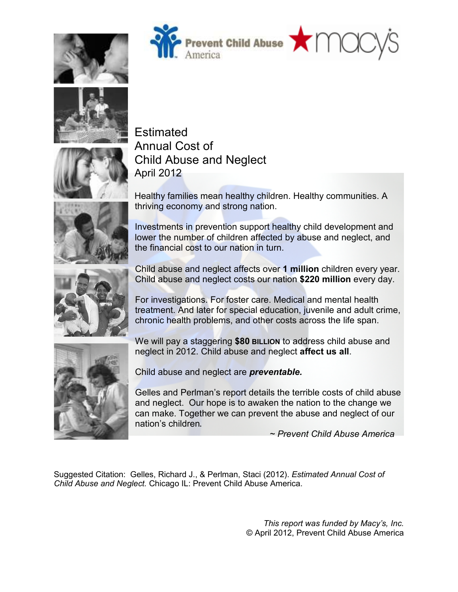







Estimated Annual Cost of Child Abuse and Neglect



April 2012 Healthy families mean healthy children. Healthy communities. A thriving economy and strong nation.

Investments in prevention support healthy child development and lower the number of children affected by abuse and neglect, and the financial cost to our nation in turn.



Child abuse and neglect affects over **1 million** children every year. Child abuse and neglect costs our nation **\$220 million** every day.

For investigations. For foster care. Medical and mental health treatment. And later for special education, juvenile and adult crime, chronic health problems, and other costs across the life span.

We will pay a staggering **\$80 BILLION** to address child abuse and neglect in 2012. Child abuse and neglect **affect us all**.



Gelles and Perlman's report details the terrible costs of child abuse and neglect. Our hope is to awaken the nation to the change we can make. Together we can prevent the abuse and neglect of our nation's children.

*~ Prevent Child Abuse America* 

Suggested Citation: Gelles, Richard J., & Perlman, Staci (2012). *Estimated Annual Cost of Child Abuse and Neglect.* Chicago IL: Prevent Child Abuse America.

> *This report was funded by Macy's, Inc.*  © April 2012, Prevent Child Abuse America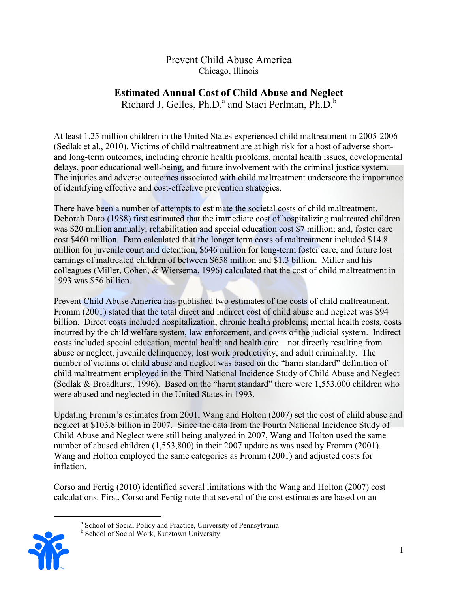# Prevent Child Abuse America Chicago, Illinois

# **Estimated Annual Cost of Child Abuse and Neglect**

Richard J. Gelles, Ph.D.<sup>a</sup> and Staci Perlman, Ph.D.<sup>b</sup>

At least 1.25 million children in the United States experienced child maltreatment in 2005-2006 (Sedlak et al., 2010). Victims of child maltreatment are at high risk for a host of adverse shortand long-term outcomes, including chronic health problems, mental health issues, developmental delays, poor educational well-being, and future involvement with the criminal justice system. The injuries and adverse outcomes associated with child maltreatment underscore the importance of identifying effective and cost-effective prevention strategies.

There have been a number of attempts to estimate the societal costs of child maltreatment. Deborah Daro (1988) first estimated that the immediate cost of hospitalizing maltreated children was \$20 million annually; rehabilitation and special education cost \$7 million; and, foster care cost \$460 million. Daro calculated that the longer term costs of maltreatment included \$14.8 million for juvenile court and detention, \$646 million for long-term foster care, and future lost earnings of maltreated children of between \$658 million and \$1.3 billion. Miller and his colleagues (Miller, Cohen, & Wiersema, 1996) calculated that the cost of child maltreatment in 1993 was \$56 billion.

Prevent Child Abuse America has published two estimates of the costs of child maltreatment. Fromm (2001) stated that the total direct and indirect cost of child abuse and neglect was \$94 billion. Direct costs included hospitalization, chronic health problems, mental health costs, costs incurred by the child welfare system, law enforcement, and costs of the judicial system. Indirect costs included special education, mental health and health care—not directly resulting from abuse or neglect, juvenile delinquency, lost work productivity, and adult criminality. The number of victims of child abuse and neglect was based on the "harm standard" definition of child maltreatment employed in the Third National Incidence Study of Child Abuse and Neglect (Sedlak & Broadhurst, 1996). Based on the "harm standard" there were 1,553,000 children who were abused and neglected in the United States in 1993.

Updating Fromm's estimates from 2001, Wang and Holton (2007) set the cost of child abuse and neglect at \$103.8 billion in 2007. Since the data from the Fourth National Incidence Study of Child Abuse and Neglect were still being analyzed in 2007, Wang and Holton used the same number of abused children (1,553,800) in their 2007 update as was used by Fromm (2001). Wang and Holton employed the same categories as Fromm (2001) and adjusted costs for inflation.

Corso and Fertig (2010) identified several limitations with the Wang and Holton (2007) cost calculations. First, Corso and Fertig note that several of the cost estimates are based on an

**b** School of Social Work, Kutztown University



 $\overline{a}$ 

<sup>&</sup>lt;sup>a</sup> School of Social Policy and Practice, University of Pennsylvania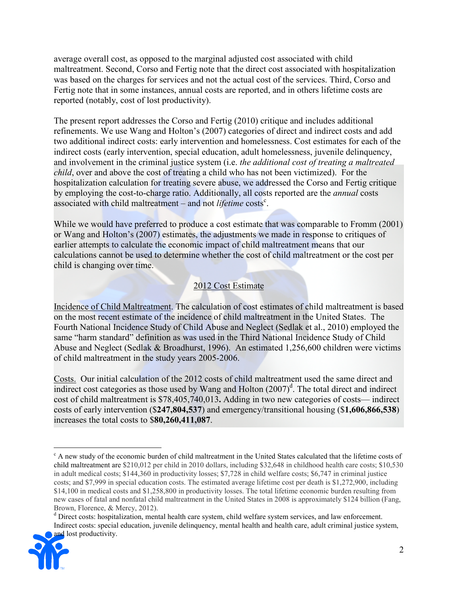average overall cost, as opposed to the marginal adjusted cost associated with child maltreatment. Second, Corso and Fertig note that the direct cost associated with hospitalization was based on the charges for services and not the actual cost of the services. Third, Corso and Fertig note that in some instances, annual costs are reported, and in others lifetime costs are reported (notably, cost of lost productivity).

The present report addresses the Corso and Fertig (2010) critique and includes additional refinements. We use Wang and Holton's (2007) categories of direct and indirect costs and add two additional indirect costs: early intervention and homelessness. Cost estimates for each of the indirect costs (early intervention, special education, adult homelessness, juvenile delinquency, and involvement in the criminal justice system (i.e. *the additional cost of treating a maltreated child*, over and above the cost of treating a child who has not been victimized). For the hospitalization calculation for treating severe abuse, we addressed the Corso and Fertig critique by employing the cost-to-charge ratio. Additionally, all costs reported are the *annual* costs associated with child maltreatment – and not *lifetime* costs<sup>c</sup>.

While we would have preferred to produce a cost estimate that was comparable to Fromm (2001) or Wang and Holton's (2007) estimates, the adjustments we made in response to critiques of earlier attempts to calculate the economic impact of child maltreatment means that our calculations cannot be used to determine whether the cost of child maltreatment or the cost per child is changing over time.

# 2012 Cost Estimate

Incidence of Child Maltreatment. The calculation of cost estimates of child maltreatment is based on the most recent estimate of the incidence of child maltreatment in the United States. The Fourth National Incidence Study of Child Abuse and Neglect (Sedlak et al., 2010) employed the same "harm standard" definition as was used in the Third National Incidence Study of Child Abuse and Neglect (Sedlak & Broadhurst, 1996). An estimated 1,256,600 children were victims of child maltreatment in the study years 2005-2006.

Costs. Our initial calculation of the 2012 costs of child maltreatment used the same direct and indirect cost categories as those used by Wang and Holton  $(2007)^d$ . The total direct and indirect cost of child maltreatment is \$78,405,740,013**.** Adding in two new categories of costs— indirect costs of early intervention (\$**247,804,537**) and emergency/transitional housing (\$**1,606,866,538**) increases the total costs to \$**80,260,411,087**.

<sup>&</sup>lt;sup>d</sup> Direct costs: hospitalization, mental health care system, child welfare system services, and law enforcement. Indirect costs: special education, juvenile delinquency, mental health and health care, adult criminal justice system, and lost productivity.



<sup>&</sup>lt;u>.</u> <sup>c</sup> A new study of the economic burden of child maltreatment in the United States calculated that the lifetime costs of child maltreatment are \$210,012 per child in 2010 dollars, including \$32,648 in childhood health care costs; \$10,530 in adult medical costs; \$144,360 in productivity losses; \$7,728 in child welfare costs; \$6,747 in criminal justice costs; and \$7,999 in special education costs. The estimated average lifetime cost per death is \$1,272,900, including \$14,100 in medical costs and \$1,258,800 in productivity losses. The total lifetime economic burden resulting from new cases of fatal and nonfatal child maltreatment in the United States in 2008 is approximately \$124 billion (Fang, Brown, Florence, & Mercy, 2012).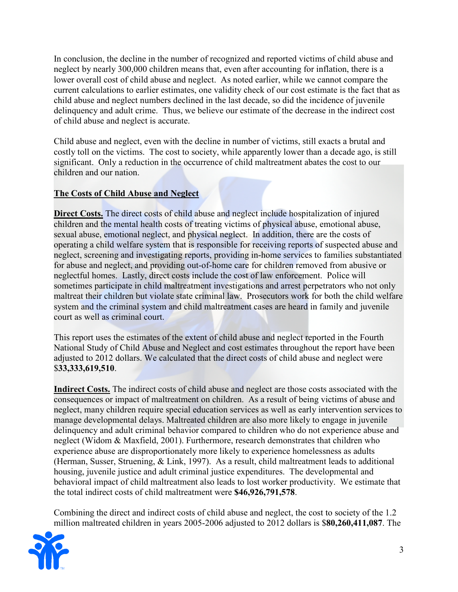In conclusion, the decline in the number of recognized and reported victims of child abuse and neglect by nearly 300,000 children means that, even after accounting for inflation, there is a lower overall cost of child abuse and neglect. As noted earlier, while we cannot compare the current calculations to earlier estimates, one validity check of our cost estimate is the fact that as child abuse and neglect numbers declined in the last decade, so did the incidence of juvenile delinquency and adult crime. Thus, we believe our estimate of the decrease in the indirect cost of child abuse and neglect is accurate.

Child abuse and neglect, even with the decline in number of victims, still exacts a brutal and costly toll on the victims. The cost to society, while apparently lower than a decade ago, is still significant. Only a reduction in the occurrence of child maltreatment abates the cost to our children and our nation.

# **The Costs of Child Abuse and Neglect**

**Direct Costs.** The direct costs of child abuse and neglect include hospitalization of injured children and the mental health costs of treating victims of physical abuse, emotional abuse, sexual abuse, emotional neglect, and physical neglect. In addition, there are the costs of operating a child welfare system that is responsible for receiving reports of suspected abuse and neglect, screening and investigating reports, providing in-home services to families substantiated for abuse and neglect, and providing out-of-home care for children removed from abusive or neglectful homes. Lastly, direct costs include the cost of law enforcement. Police will sometimes participate in child maltreatment investigations and arrest perpetrators who not only maltreat their children but violate state criminal law. Prosecutors work for both the child welfare system and the criminal system and child maltreatment cases are heard in family and juvenile court as well as criminal court.

This report uses the estimates of the extent of child abuse and neglect reported in the Fourth National Study of Child Abuse and Neglect and cost estimates throughout the report have been adjusted to 2012 dollars. We calculated that the direct costs of child abuse and neglect were \$**33,333,619,510**.

**Indirect Costs.** The indirect costs of child abuse and neglect are those costs associated with the consequences or impact of maltreatment on children. As a result of being victims of abuse and neglect, many children require special education services as well as early intervention services to manage developmental delays. Maltreated children are also more likely to engage in juvenile delinquency and adult criminal behavior compared to children who do not experience abuse and neglect (Widom & Maxfield, 2001). Furthermore, research demonstrates that children who experience abuse are disproportionately more likely to experience homelessness as adults (Herman, Susser, Struening, & Link, 1997). As a result, child maltreatment leads to additional housing, juvenile justice and adult criminal justice expenditures. The developmental and behavioral impact of child maltreatment also leads to lost worker productivity. We estimate that the total indirect costs of child maltreatment were **\$46,926,791,578**.

Combining the direct and indirect costs of child abuse and neglect, the cost to society of the 1.2 million maltreated children in years 2005-2006 adjusted to 2012 dollars is \$**80,260,411,087**. The

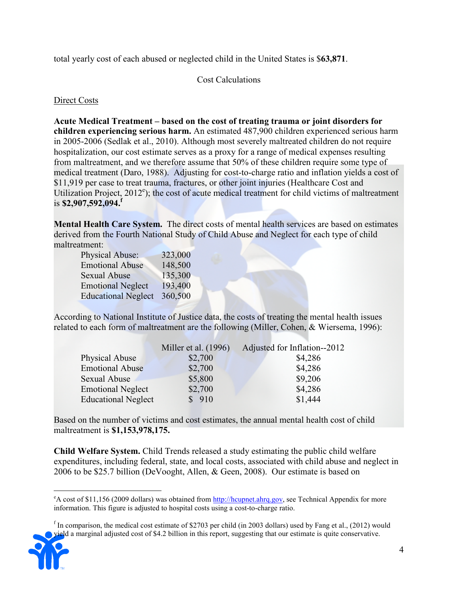total yearly cost of each abused or neglected child in the United States is \$**63,871**.

Cost Calculations

Direct Costs

**Acute Medical Treatment – based on the cost of treating trauma or joint disorders for children experiencing serious harm.** An estimated 487,900 children experienced serious harm in 2005-2006 (Sedlak et al., 2010). Although most severely maltreated children do not require hospitalization, our cost estimate serves as a proxy for a range of medical expenses resulting from maltreatment, and we therefore assume that 50% of these children require some type of medical treatment (Daro, 1988). Adjusting for cost-to-charge ratio and inflation yields a cost of \$11,919 per case to treat trauma, fractures, or other joint injuries (Healthcare Cost and Utilization Project, 2012<sup>e</sup>); the cost of acute medical treatment for child victims of maltreatment is **\$2,907,592,094.<sup>f</sup>**

**Mental Health Care System.** The direct costs of mental health services are based on estimates derived from the Fourth National Study of Child Abuse and Neglect for each type of child maltreatment:

| Physical Abuse:            | 323,000 |
|----------------------------|---------|
| <b>Emotional Abuse</b>     | 148,500 |
| <b>Sexual Abuse</b>        | 135,300 |
| <b>Emotional Neglect</b>   | 193,400 |
| <b>Educational Neglect</b> | 360,500 |

According to National Institute of Justice data, the costs of treating the mental health issues related to each form of maltreatment are the following (Miller, Cohen, & Wiersema, 1996):

|                            | Miller et al. (1996) | Adjusted for Inflation--2012 |
|----------------------------|----------------------|------------------------------|
| Physical Abuse             | \$2,700              | \$4,286                      |
| <b>Emotional Abuse</b>     | \$2,700              | \$4,286                      |
| Sexual Abuse               | \$5,800              | \$9,206                      |
| <b>Emotional Neglect</b>   | \$2,700              | \$4,286                      |
| <b>Educational Neglect</b> | \$910                | \$1,444                      |

Based on the number of victims and cost estimates, the annual mental health cost of child maltreatment is **\$1,153,978,175.**

**Child Welfare System.** Child Trends released a study estimating the public child welfare expenditures, including federal, state, and local costs, associated with child abuse and neglect in 2006 to be \$25.7 billion (DeVooght, Allen, & Geen, 2008). Our estimate is based on

If In comparison, the medical cost estimate of \$2703 per child (in 2003 dollars) used by Fang et al., (2012) would yield a marginal adjusted cost of \$4.2 billion in this report, suggesting that our estimate is quite conservative.



 $\overline{a}$  $e^A$  cost of \$11,156 (2009 dollars) was obtained from http://hcupnet.ahrg.gov, see Technical Appendix for more information. This figure is adjusted to hospital costs using a cost-to-charge ratio.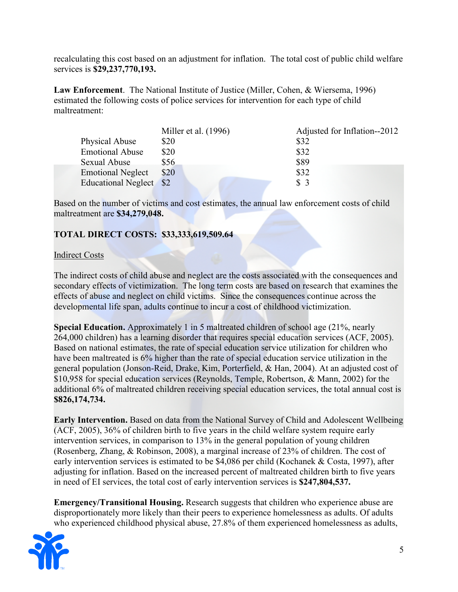recalculating this cost based on an adjustment for inflation. The total cost of public child welfare services is **\$29,237,770,193.** 

**Law Enforcement**. The National Institute of Justice (Miller, Cohen, & Wiersema, 1996) estimated the following costs of police services for intervention for each type of child maltreatment:

|                          | Miller et al. $(1996)$ | Adjusted for Inflation--2012 |
|--------------------------|------------------------|------------------------------|
| Physical Abuse           | \$20                   | \$32                         |
| <b>Emotional Abuse</b>   | \$20                   | \$32                         |
| Sexual Abuse             | \$56                   | \$89                         |
| <b>Emotional Neglect</b> | \$20                   | \$32                         |
| Educational Neglect \$2  |                        | \$3                          |

Based on the number of victims and cost estimates, the annual law enforcement costs of child maltreatment are **\$34,279,048.** 

### **TOTAL DIRECT COSTS: \$33,333,619,509.64**

#### Indirect Costs

The indirect costs of child abuse and neglect are the costs associated with the consequences and secondary effects of victimization. The long term costs are based on research that examines the effects of abuse and neglect on child victims. Since the consequences continue across the developmental life span, adults continue to incur a cost of childhood victimization.

**Special Education.** Approximately 1 in 5 maltreated children of school age (21%, nearly 264,000 children) has a learning disorder that requires special education services (ACF, 2005). Based on national estimates, the rate of special education service utilization for children who have been maltreated is 6% higher than the rate of special education service utilization in the general population (Jonson-Reid, Drake, Kim, Porterfield, & Han, 2004). At an adjusted cost of \$10,958 for special education services (Reynolds, Temple, Robertson, & Mann, 2002) for the additional 6% of maltreated children receiving special education services, the total annual cost is **\$826,174,734.** 

**Early Intervention.** Based on data from the National Survey of Child and Adolescent Wellbeing (ACF, 2005), 36% of children birth to five years in the child welfare system require early intervention services, in comparison to 13% in the general population of young children (Rosenberg, Zhang, & Robinson, 2008), a marginal increase of 23% of children. The cost of early intervention services is estimated to be \$4,086 per child (Kochanek & Costa, 1997), after adjusting for inflation. Based on the increased percent of maltreated children birth to five years in need of EI services, the total cost of early intervention services is **\$247,804,537.**

**Emergency/Transitional Housing.** Research suggests that children who experience abuse are disproportionately more likely than their peers to experience homelessness as adults. Of adults who experienced childhood physical abuse, 27.8% of them experienced homelessness as adults,

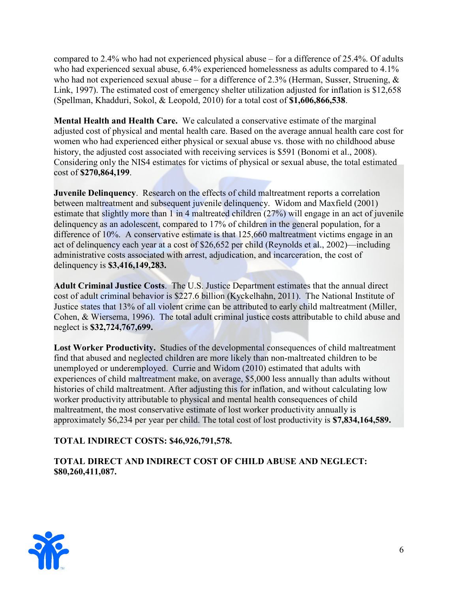compared to 2.4% who had not experienced physical abuse – for a difference of 25.4%. Of adults who had experienced sexual abuse,  $6.4\%$  experienced homelessness as adults compared to  $4.1\%$ who had not experienced sexual abuse – for a difference of 2.3% (Herman, Susser, Struening,  $\&$ Link, 1997). The estimated cost of emergency shelter utilization adjusted for inflation is \$12,658 (Spellman, Khadduri, Sokol, & Leopold, 2010) for a total cost of **\$1,606,866,538**.

**Mental Health and Health Care.** We calculated a conservative estimate of the marginal adjusted cost of physical and mental health care. Based on the average annual health care cost for women who had experienced either physical or sexual abuse vs. those with no childhood abuse history, the adjusted cost associated with receiving services is \$591 (Bonomi et al., 2008). Considering only the NIS4 estimates for victims of physical or sexual abuse, the total estimated cost of **\$270,864,199**.

**Juvenile Delinquency.** Research on the effects of child maltreatment reports a correlation between maltreatment and subsequent juvenile delinquency. Widom and Maxfield (2001) estimate that slightly more than 1 in 4 maltreated children (27%) will engage in an act of juvenile delinquency as an adolescent, compared to 17% of children in the general population, for a difference of 10%. A conservative estimate is that 125,660 maltreatment victims engage in an act of delinquency each year at a cost of \$26,652 per child (Reynolds et al., 2002)—including administrative costs associated with arrest, adjudication, and incarceration, the cost of delinquency is **\$3,416,149,283.** 

**Adult Criminal Justice Costs**. The U.S. Justice Department estimates that the annual direct cost of adult criminal behavior is \$227.6 billion (Kyckelhahn, 2011). The National Institute of Justice states that 13% of all violent crime can be attributed to early child maltreatment (Miller, Cohen, & Wiersema, 1996). The total adult criminal justice costs attributable to child abuse and neglect is **\$32,724,767,699.** 

**Lost Worker Productivity.** Studies of the developmental consequences of child maltreatment find that abused and neglected children are more likely than non-maltreated children to be unemployed or underemployed. Currie and Widom (2010) estimated that adults with experiences of child maltreatment make, on average, \$5,000 less annually than adults without histories of child maltreatment. After adjusting this for inflation, and without calculating low worker productivity attributable to physical and mental health consequences of child maltreatment, the most conservative estimate of lost worker productivity annually is approximately \$6,234 per year per child. The total cost of lost productivity is **\$7,834,164,589.** 

### **TOTAL INDIRECT COSTS: \$46,926,791,578.**

**TOTAL DIRECT AND INDIRECT COST OF CHILD ABUSE AND NEGLECT: \$80,260,411,087.** 

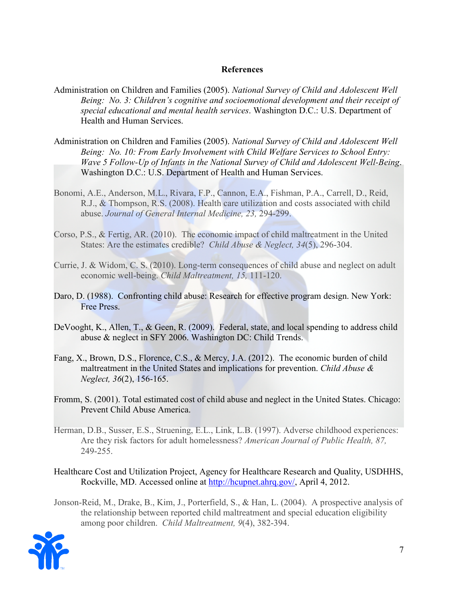#### **References**

- Administration on Children and Families (2005). *National Survey of Child and Adolescent Well Being: No. 3: Children's cognitive and socioemotional development and their receipt of special educational and mental health services*. Washington D.C.: U.S. Department of Health and Human Services.
- Administration on Children and Families (2005). *National Survey of Child and Adolescent Well Being: No. 10: From Early Involvement with Child Welfare Services to School Entry: Wave 5 Follow-Up of Infants in the National Survey of Child and Adolescent Well-Being*. Washington D.C.: U.S. Department of Health and Human Services.
- Bonomi, A.E., Anderson, M.L., Rivara, F.P., Cannon, E.A., Fishman, P.A., Carrell, D., Reid, R.J., & Thompson, R.S. (2008). Health care utilization and costs associated with child abuse. *Journal of General Internal Medicine, 23,* 294-299.
- Corso, P.S., & Fertig, AR. (2010). The economic impact of child maltreatment in the United States: Are the estimates credible? *Child Abuse & Neglect, 34*(5), 296-304.
- Currie, J. & Widom, C. S. (2010). Long-term consequences of child abuse and neglect on adult economic well-being. *Child Maltreatment, 15,* 111-120.
- Daro, D. (1988). Confronting child abuse: Research for effective program design. New York: Free Press.
- DeVooght, K., Allen, T., & Geen, R. (2009). Federal, state, and local spending to address child abuse & neglect in SFY 2006. Washington DC: Child Trends.
- Fang, X., Brown, D.S., Florence, C.S., & Mercy, J.A. (2012). The economic burden of child maltreatment in the United States and implications for prevention. *Child Abuse & Neglect, 36*(2), 156-165.
- Fromm, S. (2001). Total estimated cost of child abuse and neglect in the United States. Chicago: Prevent Child Abuse America.
- Herman, D.B., Susser, E.S., Struening, E.L., Link, L.B. (1997). Adverse childhood experiences: Are they risk factors for adult homelessness? *American Journal of Public Health, 87,*  249-255.
- Healthcare Cost and Utilization Project, Agency for Healthcare Research and Quality, USDHHS, Rockville, MD. Accessed online at http://hcupnet.ahrq.gov/, April 4, 2012.
- Jonson-Reid, M., Drake, B., Kim, J., Porterfield, S., & Han, L. (2004). A prospective analysis of the relationship between reported child maltreatment and special education eligibility among poor children. *Child Maltreatment, 9*(4), 382-394.

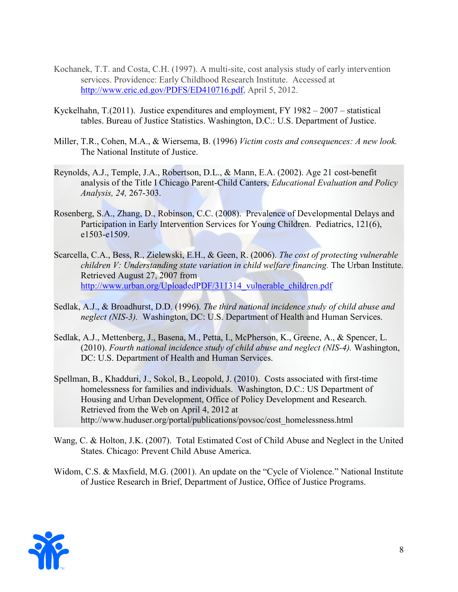- Kochanek, T.T. and Costa, C.H. (1997). A multi-site, cost analysis study of early intervention services. Providence: Early Childhood Research Institute. Accessed at http://www.eric.ed.gov/PDFS/ED410716.pdf, April 5, 2012.
- Kyckelhahn, T.(2011). Justice expenditures and employment, FY 1982 2007 statistical tables. Bureau of Justice Statistics. Washington, D.C.: U.S. Department of Justice.
- Miller, T.R., Cohen, M.A., & Wiersema, B. (1996) *Victim costs and consequences: A new look.*  The National Institute of Justice.
- Reynolds, A.J., Temple, J.A., Robertson, D.L., & Mann, E.A. (2002). Age 21 cost-benefit analysis of the Title I Chicago Parent-Child Canters, *Educational Evaluation and Policy Analysis, 24,* 267-303.
- Rosenberg, S.A., Zhang, D., Robinson, C.C. (2008). Prevalence of Developmental Delays and Participation in Early Intervention Services for Young Children. Pediatrics, 121(6), e1503-e1509.
- Scarcella, C.A., Bess, R., Zielewski, E.H., & Geen, R. (2006). *The cost of protecting vulnerable children V: Understanding state variation in child welfare financing. The Urban Institute.* Retrieved August 27, 2007 from http://www.urban.org/UploadedPDF/311314\_vulnerable\_children.pdf
- Sedlak, A.J., & Broadhurst, D.D. (1996). *The third national incidence study of child abuse and neglect (NIS-3).* Washington, DC: U.S. Department of Health and Human Services.
- Sedlak, A.J., Mettenberg, J., Basena, M., Petta, I., McPherson, K., Greene, A., & Spencer, L. (2010). *Fourth national incidence study of child abuse and neglect (NIS-4).* Washington, DC: U.S. Department of Health and Human Services.
- Spellman, B., Khadduri, J., Sokol, B., Leopold, J. (2010). Costs associated with first-time homelessness for families and individuals. Washington, D.C.: US Department of Housing and Urban Development, Office of Policy Development and Research. Retrieved from the Web on April 4, 2012 at http://www.huduser.org/portal/publications/povsoc/cost\_homelessness.html
- Wang, C. & Holton, J.K. (2007). Total Estimated Cost of Child Abuse and Neglect in the United States. Chicago: Prevent Child Abuse America.
- Widom, C.S. & Maxfield, M.G. (2001). An update on the "Cycle of Violence." National Institute of Justice Research in Brief, Department of Justice, Office of Justice Programs.